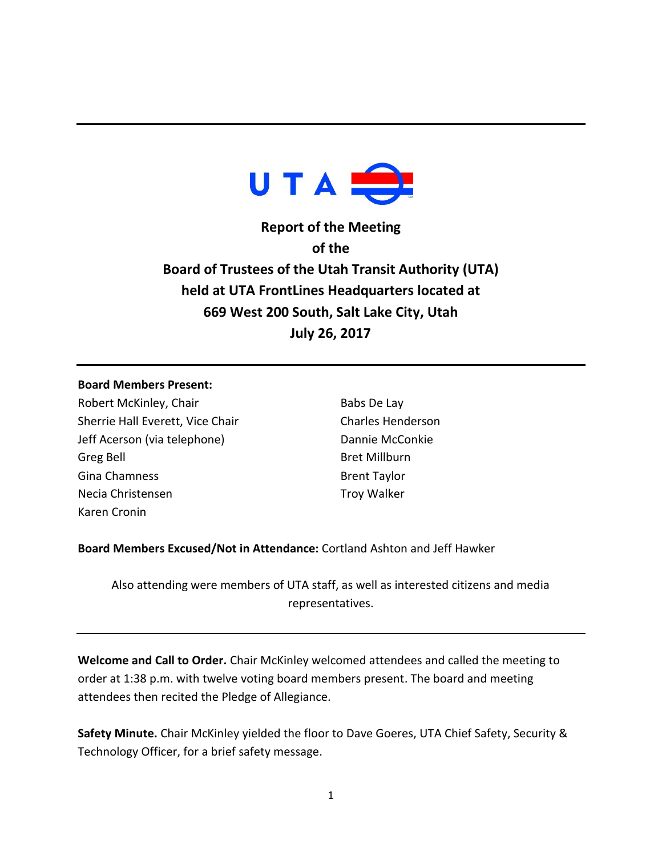

**Report of the Meeting of the Board of Trustees of the Utah Transit Authority (UTA) held at UTA FrontLines Headquarters located at 669 West 200 South, Salt Lake City, Utah July 26, 2017**

## **Board Members Present:**

Robert McKinley, Chair Sherrie Hall Everett, Vice Chair Jeff Acerson (via telephone) Greg Bell Gina Chamness Necia Christensen Karen Cronin

Babs De Lay Charles Henderson Dannie McConkie Bret Millburn Brent Taylor Troy Walker

**Board Members Excused/Not in Attendance:** Cortland Ashton and Jeff Hawker

Also attending were members of UTA staff, as well as interested citizens and media representatives.

**Welcome and Call to Order.** Chair McKinley welcomed attendees and called the meeting to order at 1:38 p.m. with twelve voting board members present. The board and meeting attendees then recited the Pledge of Allegiance.

**Safety Minute.** Chair McKinley yielded the floor to Dave Goeres, UTA Chief Safety, Security & Technology Officer, for a brief safety message.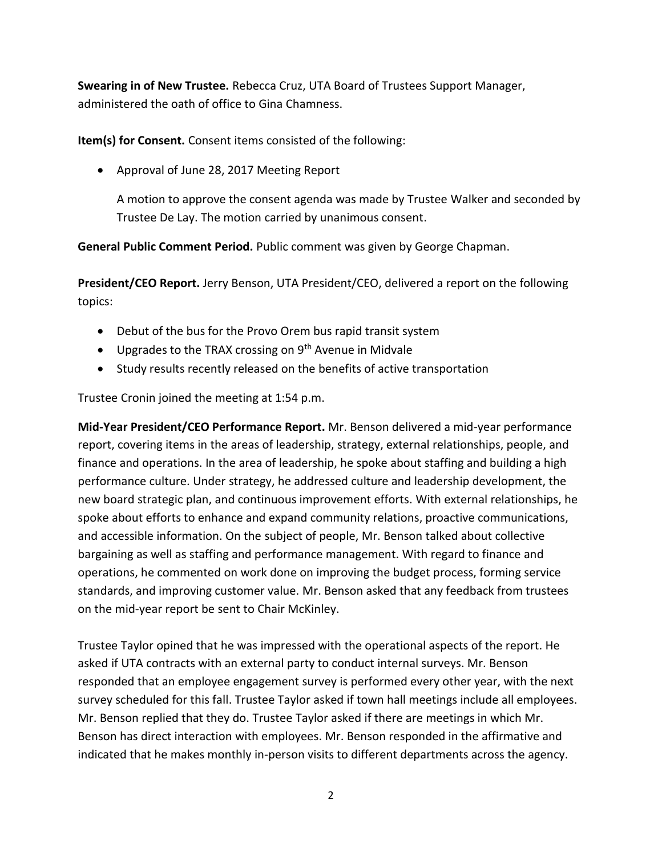**Swearing in of New Trustee.** Rebecca Cruz, UTA Board of Trustees Support Manager, administered the oath of office to Gina Chamness.

**Item(s) for Consent.** Consent items consisted of the following:

Approval of June 28, 2017 Meeting Report

A motion to approve the consent agenda was made by Trustee Walker and seconded by Trustee De Lay. The motion carried by unanimous consent.

**General Public Comment Period.** Public comment was given by George Chapman.

**President/CEO Report.** Jerry Benson, UTA President/CEO, delivered a report on the following topics:

- Debut of the bus for the Provo Orem bus rapid transit system
- Upgrades to the TRAX crossing on  $9<sup>th</sup>$  Avenue in Midvale
- Study results recently released on the benefits of active transportation

Trustee Cronin joined the meeting at 1:54 p.m.

**Mid-Year President/CEO Performance Report.** Mr. Benson delivered a mid-year performance report, covering items in the areas of leadership, strategy, external relationships, people, and finance and operations. In the area of leadership, he spoke about staffing and building a high performance culture. Under strategy, he addressed culture and leadership development, the new board strategic plan, and continuous improvement efforts. With external relationships, he spoke about efforts to enhance and expand community relations, proactive communications, and accessible information. On the subject of people, Mr. Benson talked about collective bargaining as well as staffing and performance management. With regard to finance and operations, he commented on work done on improving the budget process, forming service standards, and improving customer value. Mr. Benson asked that any feedback from trustees on the mid-year report be sent to Chair McKinley.

Trustee Taylor opined that he was impressed with the operational aspects of the report. He asked if UTA contracts with an external party to conduct internal surveys. Mr. Benson responded that an employee engagement survey is performed every other year, with the next survey scheduled for this fall. Trustee Taylor asked if town hall meetings include all employees. Mr. Benson replied that they do. Trustee Taylor asked if there are meetings in which Mr. Benson has direct interaction with employees. Mr. Benson responded in the affirmative and indicated that he makes monthly in-person visits to different departments across the agency.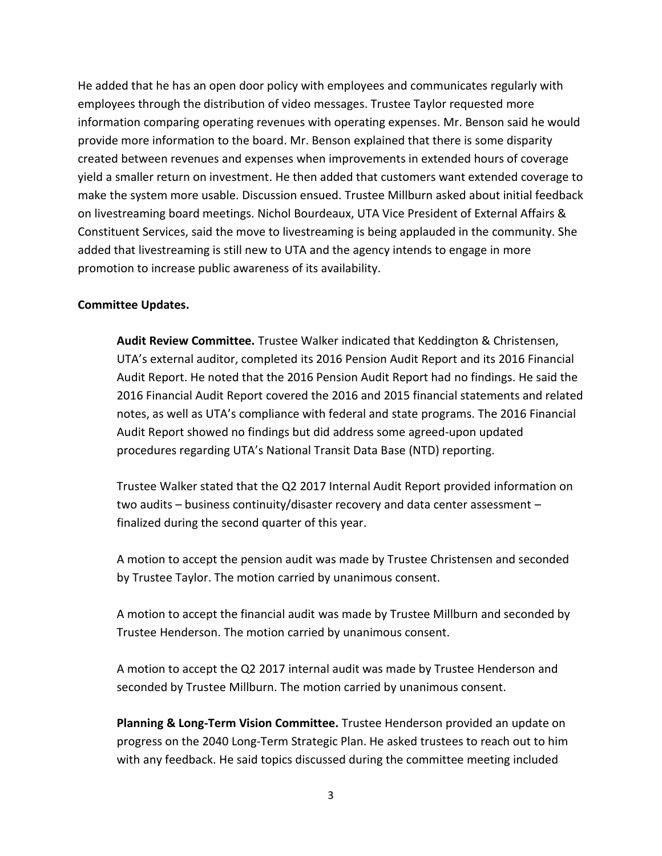He added that he has an open door policy with employees and communicates regularly with employees through the distribution of video messages. Trustee Taylor requested more information comparing operating revenues with operating expenses. Mr. Benson said he would provide more information to the board. Mr. Benson explained that there is some disparity created between revenues and expenses when improvements in extended hours of coverage yield a smaller return on investment. He then added that customers want extended coverage to make the system more usable. Discussion ensued. Trustee Millburn asked about initial feedback on livestreaming board meetings. Nichol Bourdeaux, UTA Vice President of External Affairs & Constituent Services, said the move to livestreaming is being applauded in the community. She added that livestreaming is still new to UTA and the agency intends to engage in more promotion to increase public awareness of its availability.

## **Committee Updates.**

**Audit Review Committee.** Trustee Walker indicated that Keddington & Christensen, UTA's external auditor, completed its 2016 Pension Audit Report and its 2016 Financial Audit Report. He noted that the 2016 Pension Audit Report had no findings. He said the 2016 Financial Audit Report covered the 2016 and 2015 financial statements and related notes, as well as UTA's compliance with federal and state programs. The 2016 Financial Audit Report showed no findings but did address some agreed-upon updated procedures regarding UTA's National Transit Data Base (NTD) reporting.

Trustee Walker stated that the Q2 2017 Internal Audit Report provided information on two audits – business continuity/disaster recovery and data center assessment – finalized during the second quarter of this year.

A motion to accept the pension audit was made by Trustee Christensen and seconded by Trustee Taylor. The motion carried by unanimous consent.

A motion to accept the financial audit was made by Trustee Millburn and seconded by Trustee Henderson. The motion carried by unanimous consent.

A motion to accept the Q2 2017 internal audit was made by Trustee Henderson and seconded by Trustee Millburn. The motion carried by unanimous consent.

**Planning & Long-Term Vision Committee.** Trustee Henderson provided an update on progress on the 2040 Long-Term Strategic Plan. He asked trustees to reach out to him with any feedback. He said topics discussed during the committee meeting included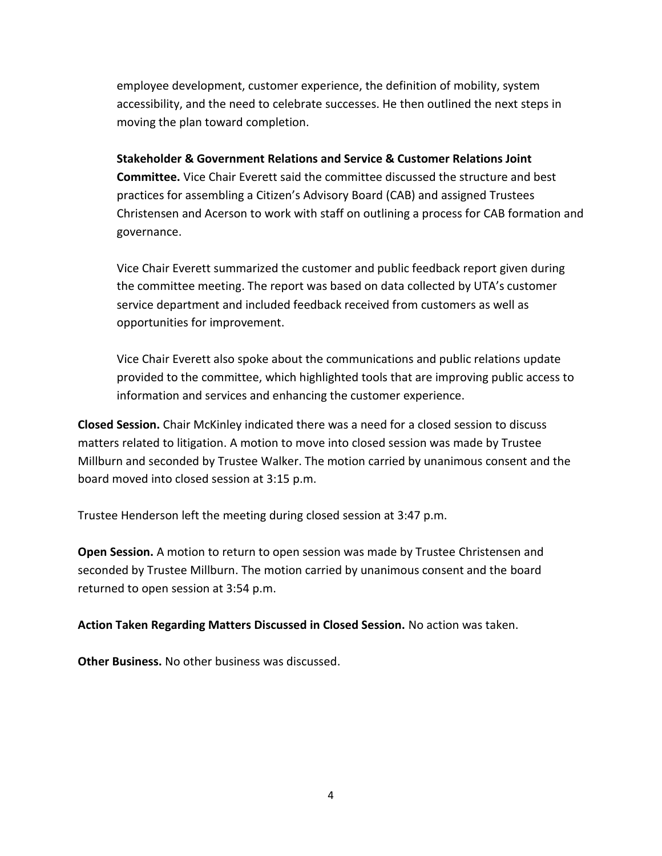employee development, customer experience, the definition of mobility, system accessibility, and the need to celebrate successes. He then outlined the next steps in moving the plan toward completion.

**Stakeholder & Government Relations and Service & Customer Relations Joint Committee.** Vice Chair Everett said the committee discussed the structure and best practices for assembling a Citizen's Advisory Board (CAB) and assigned Trustees Christensen and Acerson to work with staff on outlining a process for CAB formation and governance.

Vice Chair Everett summarized the customer and public feedback report given during the committee meeting. The report was based on data collected by UTA's customer service department and included feedback received from customers as well as opportunities for improvement.

Vice Chair Everett also spoke about the communications and public relations update provided to the committee, which highlighted tools that are improving public access to information and services and enhancing the customer experience.

**Closed Session.** Chair McKinley indicated there was a need for a closed session to discuss matters related to litigation. A motion to move into closed session was made by Trustee Millburn and seconded by Trustee Walker. The motion carried by unanimous consent and the board moved into closed session at 3:15 p.m.

Trustee Henderson left the meeting during closed session at 3:47 p.m.

**Open Session.** A motion to return to open session was made by Trustee Christensen and seconded by Trustee Millburn. The motion carried by unanimous consent and the board returned to open session at 3:54 p.m.

**Action Taken Regarding Matters Discussed in Closed Session.** No action was taken.

**Other Business.** No other business was discussed.